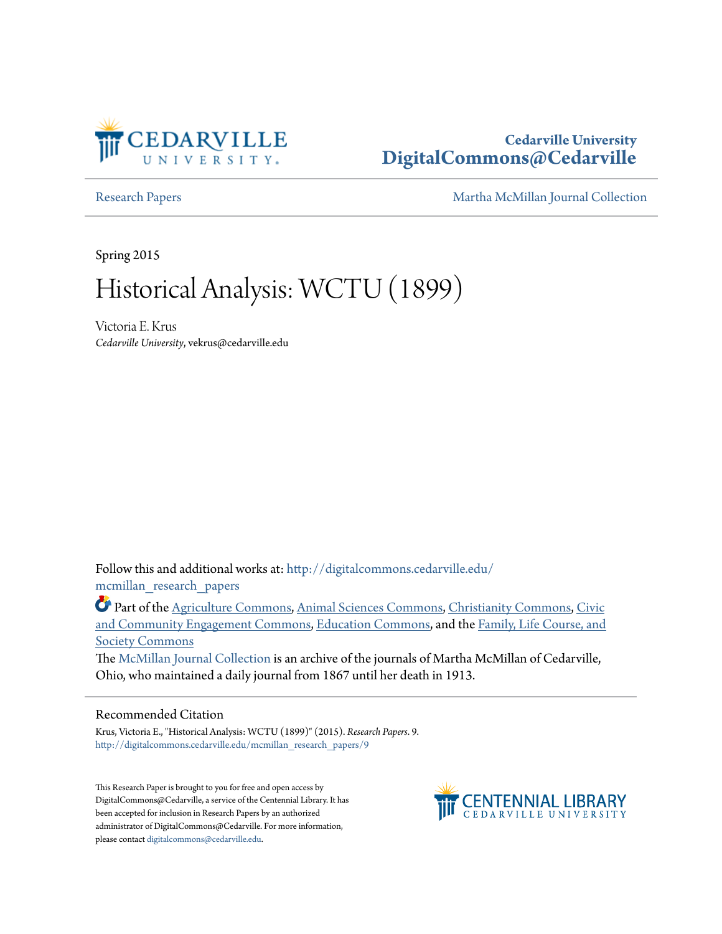

## **Cedarville University [DigitalCommons@Cedarville](http://digitalcommons.cedarville.edu?utm_source=digitalcommons.cedarville.edu%2Fmcmillan_research_papers%2F9&utm_medium=PDF&utm_campaign=PDFCoverPages)**

[Research Papers](http://digitalcommons.cedarville.edu/mcmillan_research_papers?utm_source=digitalcommons.cedarville.edu%2Fmcmillan_research_papers%2F9&utm_medium=PDF&utm_campaign=PDFCoverPages) [Martha McMillan Journal Collection](http://digitalcommons.cedarville.edu/mcmillan_journal_collection?utm_source=digitalcommons.cedarville.edu%2Fmcmillan_research_papers%2F9&utm_medium=PDF&utm_campaign=PDFCoverPages)

Spring 2015

# Historical Analysis: WCTU (1899)

Victoria E. Krus *Cedarville University*, vekrus@cedarville.edu

Follow this and additional works at: [http://digitalcommons.cedarville.edu/](http://digitalcommons.cedarville.edu/mcmillan_research_papers?utm_source=digitalcommons.cedarville.edu%2Fmcmillan_research_papers%2F9&utm_medium=PDF&utm_campaign=PDFCoverPages) [mcmillan\\_research\\_papers](http://digitalcommons.cedarville.edu/mcmillan_research_papers?utm_source=digitalcommons.cedarville.edu%2Fmcmillan_research_papers%2F9&utm_medium=PDF&utm_campaign=PDFCoverPages)

Part of the [Agriculture Commons](http://network.bepress.com/hgg/discipline/1076?utm_source=digitalcommons.cedarville.edu%2Fmcmillan_research_papers%2F9&utm_medium=PDF&utm_campaign=PDFCoverPages), [Animal Sciences Commons,](http://network.bepress.com/hgg/discipline/76?utm_source=digitalcommons.cedarville.edu%2Fmcmillan_research_papers%2F9&utm_medium=PDF&utm_campaign=PDFCoverPages) [Christianity Commons](http://network.bepress.com/hgg/discipline/1181?utm_source=digitalcommons.cedarville.edu%2Fmcmillan_research_papers%2F9&utm_medium=PDF&utm_campaign=PDFCoverPages), [Civic](http://network.bepress.com/hgg/discipline/1028?utm_source=digitalcommons.cedarville.edu%2Fmcmillan_research_papers%2F9&utm_medium=PDF&utm_campaign=PDFCoverPages) [and Community Engagement Commons,](http://network.bepress.com/hgg/discipline/1028?utm_source=digitalcommons.cedarville.edu%2Fmcmillan_research_papers%2F9&utm_medium=PDF&utm_campaign=PDFCoverPages) [Education Commons,](http://network.bepress.com/hgg/discipline/784?utm_source=digitalcommons.cedarville.edu%2Fmcmillan_research_papers%2F9&utm_medium=PDF&utm_campaign=PDFCoverPages) and the [Family, Life Course, and](http://network.bepress.com/hgg/discipline/419?utm_source=digitalcommons.cedarville.edu%2Fmcmillan_research_papers%2F9&utm_medium=PDF&utm_campaign=PDFCoverPages) [Society Commons](http://network.bepress.com/hgg/discipline/419?utm_source=digitalcommons.cedarville.edu%2Fmcmillan_research_papers%2F9&utm_medium=PDF&utm_campaign=PDFCoverPages)

The [McMillan Journal Collection](http://digitalcommons.cedarville.edu/mcmillan_journal_collection/) is an archive of the journals of Martha McMillan of Cedarville, Ohio, who maintained a daily journal from 1867 until her death in 1913.

#### Recommended Citation

Krus, Victoria E., "Historical Analysis: WCTU (1899)" (2015). *Research Papers*. 9. [http://digitalcommons.cedarville.edu/mcmillan\\_research\\_papers/9](http://digitalcommons.cedarville.edu/mcmillan_research_papers/9?utm_source=digitalcommons.cedarville.edu%2Fmcmillan_research_papers%2F9&utm_medium=PDF&utm_campaign=PDFCoverPages)

This Research Paper is brought to you for free and open access by DigitalCommons@Cedarville, a service of the Centennial Library. It has been accepted for inclusion in Research Papers by an authorized administrator of DigitalCommons@Cedarville. For more information, please contact [digitalcommons@cedarville.edu.](mailto:digitalcommons@cedarville.edu)

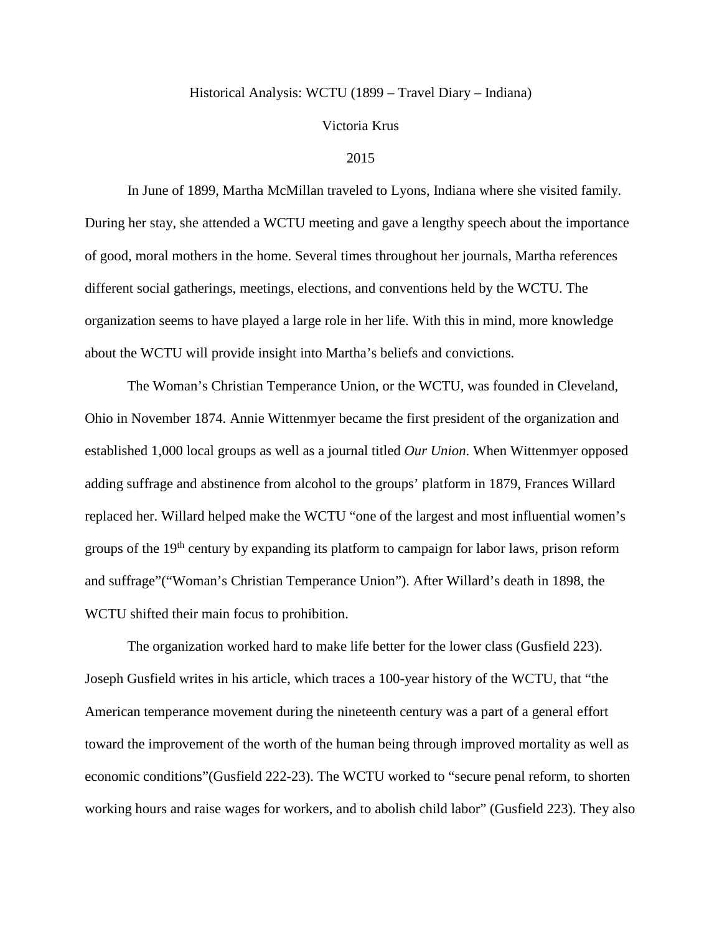#### Historical Analysis: WCTU (1899 – Travel Diary – Indiana)

#### Victoria Krus

#### 2015

In June of 1899, Martha McMillan traveled to Lyons, Indiana where she visited family. During her stay, she attended a WCTU meeting and gave a lengthy speech about the importance of good, moral mothers in the home. Several times throughout her journals, Martha references different social gatherings, meetings, elections, and conventions held by the WCTU. The organization seems to have played a large role in her life. With this in mind, more knowledge about the WCTU will provide insight into Martha's beliefs and convictions.

The Woman's Christian Temperance Union, or the WCTU, was founded in Cleveland, Ohio in November 1874. Annie Wittenmyer became the first president of the organization and established 1,000 local groups as well as a journal titled *Our Union*. When Wittenmyer opposed adding suffrage and abstinence from alcohol to the groups' platform in 1879, Frances Willard replaced her. Willard helped make the WCTU "one of the largest and most influential women's groups of the 19<sup>th</sup> century by expanding its platform to campaign for labor laws, prison reform and suffrage"("Woman's Christian Temperance Union"). After Willard's death in 1898, the WCTU shifted their main focus to prohibition.

The organization worked hard to make life better for the lower class (Gusfield 223). Joseph Gusfield writes in his article, which traces a 100-year history of the WCTU, that "the American temperance movement during the nineteenth century was a part of a general effort toward the improvement of the worth of the human being through improved mortality as well as economic conditions"(Gusfield 222-23). The WCTU worked to "secure penal reform, to shorten working hours and raise wages for workers, and to abolish child labor" (Gusfield 223). They also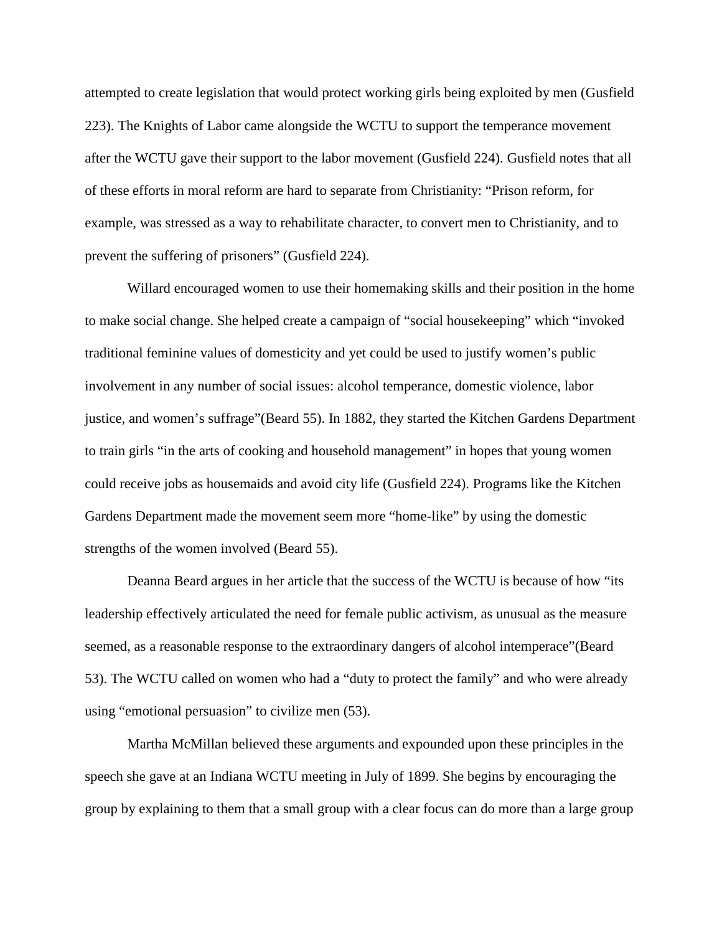attempted to create legislation that would protect working girls being exploited by men (Gusfield 223). The Knights of Labor came alongside the WCTU to support the temperance movement after the WCTU gave their support to the labor movement (Gusfield 224). Gusfield notes that all of these efforts in moral reform are hard to separate from Christianity: "Prison reform, for example, was stressed as a way to rehabilitate character, to convert men to Christianity, and to prevent the suffering of prisoners" (Gusfield 224).

Willard encouraged women to use their homemaking skills and their position in the home to make social change. She helped create a campaign of "social housekeeping" which "invoked traditional feminine values of domesticity and yet could be used to justify women's public involvement in any number of social issues: alcohol temperance, domestic violence, labor justice, and women's suffrage"(Beard 55). In 1882, they started the Kitchen Gardens Department to train girls "in the arts of cooking and household management" in hopes that young women could receive jobs as housemaids and avoid city life (Gusfield 224). Programs like the Kitchen Gardens Department made the movement seem more "home-like" by using the domestic strengths of the women involved (Beard 55).

Deanna Beard argues in her article that the success of the WCTU is because of how "its leadership effectively articulated the need for female public activism, as unusual as the measure seemed, as a reasonable response to the extraordinary dangers of alcohol intemperace"(Beard 53). The WCTU called on women who had a "duty to protect the family" and who were already using "emotional persuasion" to civilize men (53).

Martha McMillan believed these arguments and expounded upon these principles in the speech she gave at an Indiana WCTU meeting in July of 1899. She begins by encouraging the group by explaining to them that a small group with a clear focus can do more than a large group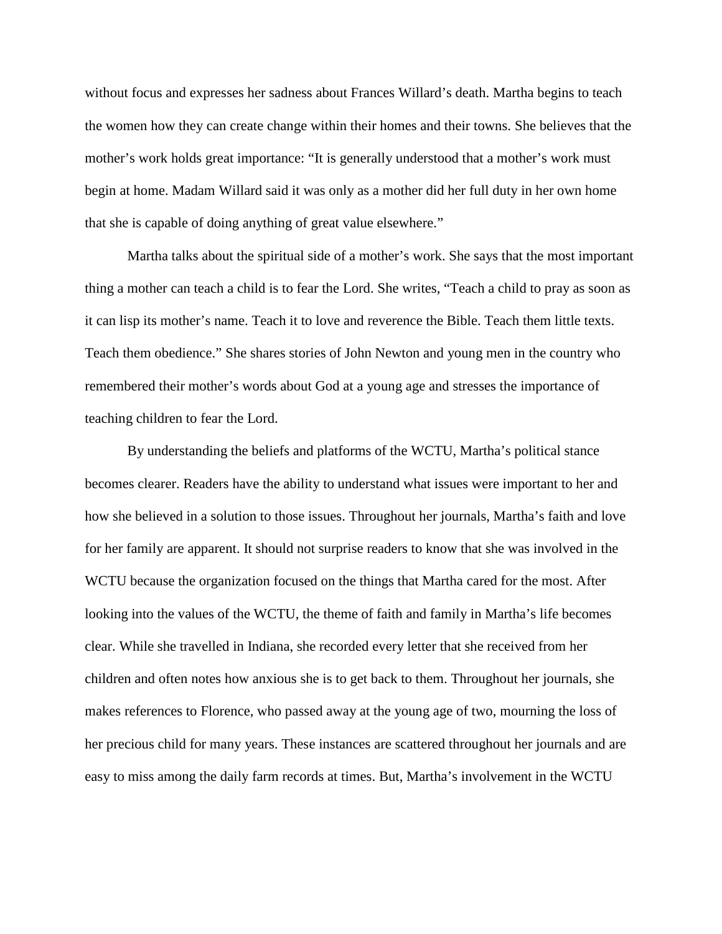without focus and expresses her sadness about Frances Willard's death. Martha begins to teach the women how they can create change within their homes and their towns. She believes that the mother's work holds great importance: "It is generally understood that a mother's work must begin at home. Madam Willard said it was only as a mother did her full duty in her own home that she is capable of doing anything of great value elsewhere."

Martha talks about the spiritual side of a mother's work. She says that the most important thing a mother can teach a child is to fear the Lord. She writes, "Teach a child to pray as soon as it can lisp its mother's name. Teach it to love and reverence the Bible. Teach them little texts. Teach them obedience." She shares stories of John Newton and young men in the country who remembered their mother's words about God at a young age and stresses the importance of teaching children to fear the Lord.

By understanding the beliefs and platforms of the WCTU, Martha's political stance becomes clearer. Readers have the ability to understand what issues were important to her and how she believed in a solution to those issues. Throughout her journals, Martha's faith and love for her family are apparent. It should not surprise readers to know that she was involved in the WCTU because the organization focused on the things that Martha cared for the most. After looking into the values of the WCTU, the theme of faith and family in Martha's life becomes clear. While she travelled in Indiana, she recorded every letter that she received from her children and often notes how anxious she is to get back to them. Throughout her journals, she makes references to Florence, who passed away at the young age of two, mourning the loss of her precious child for many years. These instances are scattered throughout her journals and are easy to miss among the daily farm records at times. But, Martha's involvement in the WCTU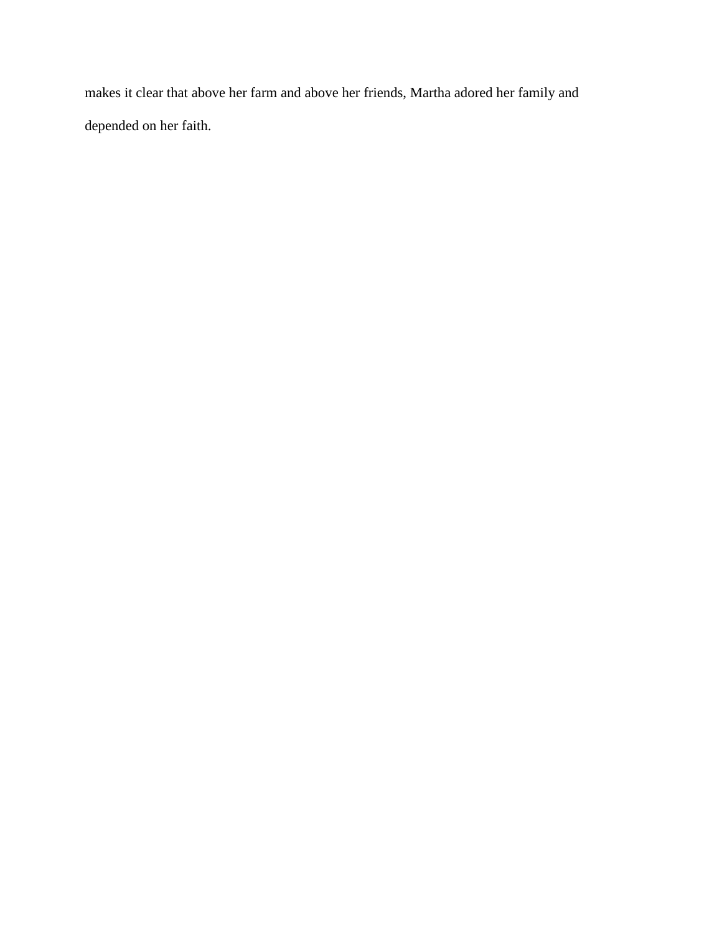makes it clear that above her farm and above her friends, Martha adored her family and depended on her faith.